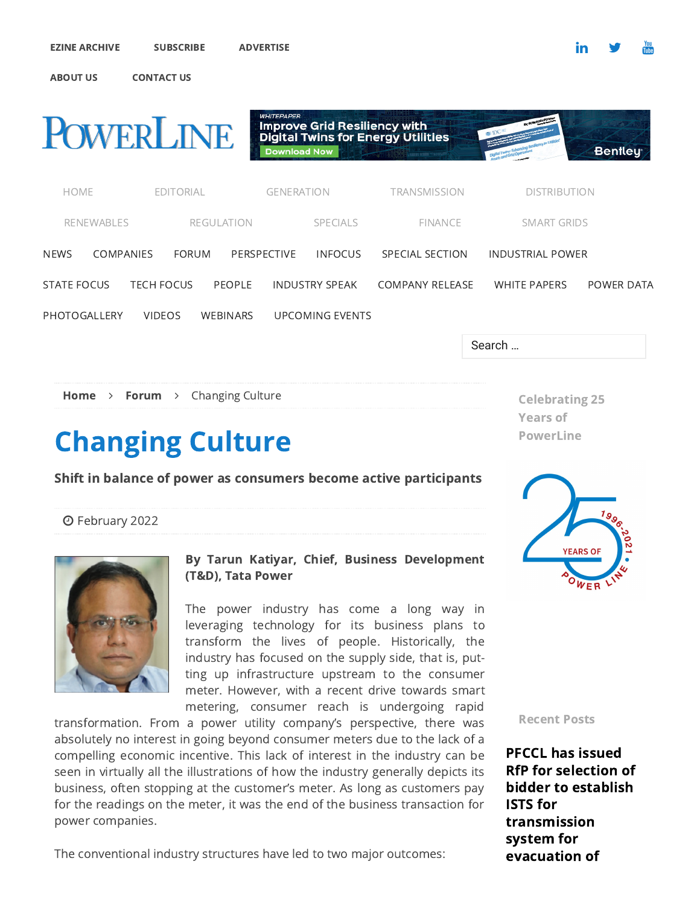

# Changing Culture

### Shift in balance of power as consumers become active participants

Years of PowerLine

[February 2022](https://powerline.net.in/2022/02/)



#### By Tarun Katiyar, Chief, Business Development (T&D), Tata Power

The power industry has come a long way in leveraging technology for its business plans to transform the lives of people. Historically, the industry has focused on the supply side, that is, putting up infrastructure upstream to the consumer meter. However, with a recent drive towards smart metering, consumer reach is undergoing rapid

transformation. From a power utility company's perspective, there was absolutely no interest in going beyond consumer meters due to the lack of a compelling economic incentive. This lack of interest in the industry can be seen in virtually all the illustrations of how the industry generally depicts its business, often stopping at the customer's meter. As long as customers pay for the readings on the meter, it was the end of the business transaction for power companies.

The conventional industry structures have led to two major outcomes:



Recent Posts

PFCCL has issued [RfP for selection of](https://powerline.net.in/2022/03/09/pfccl-has-issued-rfp-for-selection-of-bidder-to-establish-ists-for-transmission-system-for-evacuation-of-power-from-rez-in-rajasthan/) bidder to establish ISTS for transmission system for evacuation of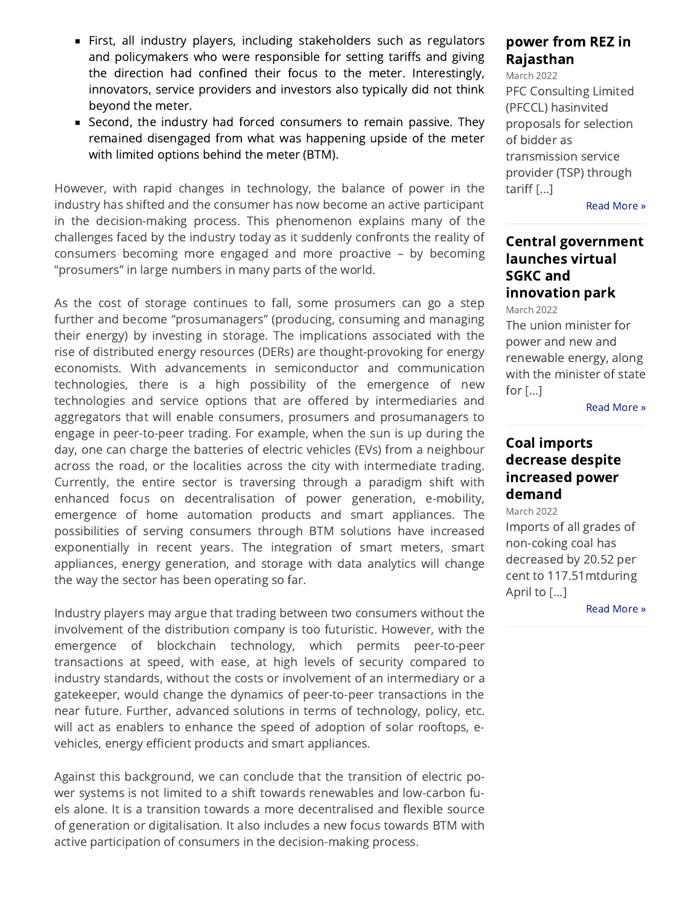- **First, all industry players, including stakeholders such as regulators** and policymakers who were responsible for setting tariffs and giving the direction had confined their focus to the meter. Interestingly, innovators, service providers and investors also typically did not think beyond the meter.
- Second, the industry had forced consumers to remain passive. They remained disengaged from what was happening upside of the meter with limited options behind the meter (BTM).

However, with rapid changes in technology, the balance of power in the industry has shifted and the consumer has now become an active participant in the decision-making process. This phenomenon explains many of the challenges faced by the industry today as it suddenly confronts the reality of consumers becoming more engaged and more proactive – by becoming "prosumers" in large numbers in many parts of the world.

As the cost of storage continues to fall, some prosumers can go a step further and become "prosumanagers" (producing, consuming and managing their energy) by investing in storage. The implications associated with the rise of distributed energy resources (DERs) are thought-provoking for energy economists. With advancements in semiconductor and communication technologies, there is a high possibility of the emergence of new technologies and service options that are offered by intermediaries and aggregators that will enable consumers, prosumers and prosumanagers to engage in peer-to-peer trading. For example, when the sun is up during the day, one can charge the batteries of electric vehicles (EVs) from a neighbour across the road, or the localities across the city with intermediate trading. Currently, the entire sector is traversing through a paradigm shift with enhanced focus on decentralisation of power generation, e-mobility, emergence of home automation products and smart appliances. The possibilities of serving consumers through BTM solutions have increased exponentially in recent years. The integration of smart meters, smart appliances, energy generation, and storage with data analytics will change the way the sector has been operating so far.

Industry players may argue that trading between two consumers without the involvement of the distribution company is too futuristic. However, with the emergence of blockchain technology, which permits peer-to-peer transactions at speed, with ease, at high levels of security compared to industry standards, without the costs or involvement of an intermediary or a gatekeeper, would change the dynamics of peer-to-peer transactions in the near future. Further, advanced solutions in terms of technology, policy, etc. will act as enablers to enhance the speed of adoption of solar rooftops, evehicles, energy efficient products and smart appliances.

Against this background, we can conclude that the transition of electric power systems is not limited to a shift towards renewables and low-carbon fuels alone. It is a transition towards a more decentralised and flexible source of generation or digitalisation. It also includes a new focus towards BTM with active participation of consumers in the decision-making process.

# [power from REZ in](https://powerline.net.in/2022/03/09/pfccl-has-issued-rfp-for-selection-of-bidder-to-establish-ists-for-transmission-system-for-evacuation-of-power-from-rez-in-rajasthan/) Rajasthan

March 2022 PFC Consulting Limited (PFCCL) hasinvited proposals for selection of bidder as transmission service provider (TSP) through tariff $[...]$ 

[Read More »](https://powerline.net.in/2022/03/09/pfccl-has-issued-rfp-for-selection-of-bidder-to-establish-ists-for-transmission-system-for-evacuation-of-power-from-rez-in-rajasthan/)

## [Central government](https://powerline.net.in/2022/03/09/central-government-launches-virtual-sgkc-and-innovation-park/) launches virtual SGKC and innovation park

March 2022

The union minister for power and new and renewable energy, along with the minister of state for [...]

[Read More »](https://powerline.net.in/2022/03/09/central-government-launches-virtual-sgkc-and-innovation-park/)

### Coal imports [decrease despite](https://powerline.net.in/2022/03/09/coal-imports-decrease-despite-increased-power-demand/) increased power demand

March 2022

Imports of all grades of non-coking coal has decreased by 20.52 per cent to 117.51mtduring April to [...]

[Read More »](https://powerline.net.in/2022/03/09/coal-imports-decrease-despite-increased-power-demand/)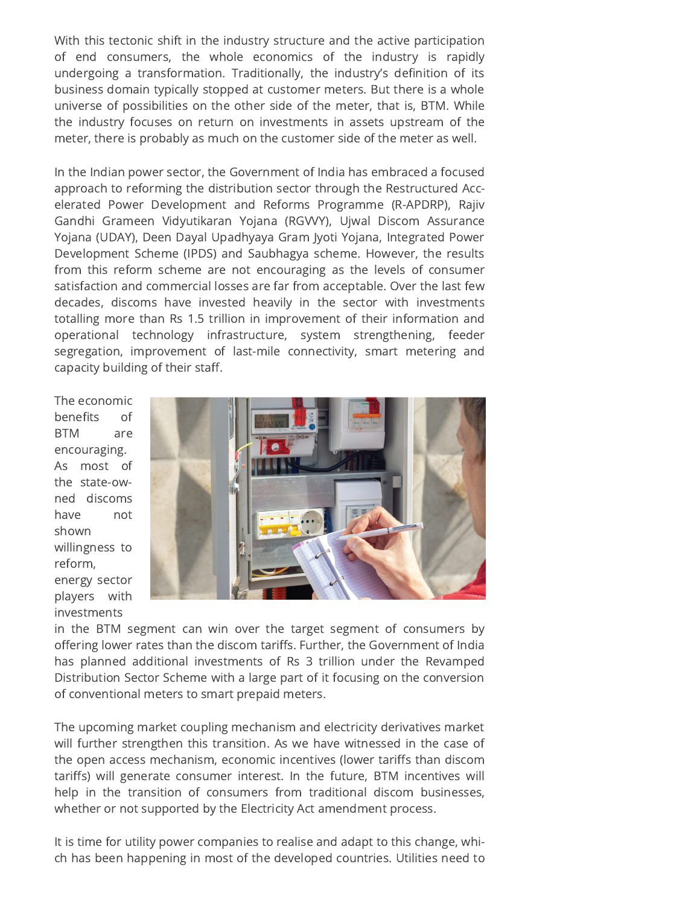With this tectonic shift in the industry structure and the active participation of end consumers, the whole economics of the industry is rapidly undergoing a transformation. Traditionally, the industry's definition of its business domain typically stopped at customer meters. But there is a whole universe of possibilities on the other side of the meter, that is, BTM. While the industry focuses on return on investments in assets upstream of the meter, there is probably as much on the customer side of the meter as well.

In the Indian power sector, the Government of India has embraced a focused approach to reforming the distribution sector through the Restructured Accele rated Power Development and Reforms Programme (R-APDRP), Rajiv Gandhi Grameen Vidyutikaran Yojana (RGVVY), Ujwal Discom Assurance Yojana (UDAY), Deen Dayal Upadhyaya Gram Jyoti Yojana, Integrated Power Development Scheme (IPDS) and Saubhagya scheme. However, the results from this reform scheme are not encouraging as the levels of consumer satisfaction and commercial losses are far from acceptable. Over the last few decades, discoms have invested heavily in the sector with investments totalling more than Rs 1.5 trillion in improvement of their information and operational technology infrastructure, system strengthening, feeder segregation, improvement of last-mile connectivity, smart metering and capacity building of their staff.

The economic benefits of BTM are encouraging. As most of the state-owned discoms have not shown willingness to reform, energy sector players with investments



in the BTM segment can win over the target segment of consumers by offering lower rates than the discom tariffs. Further, the Government of India has planned additional investments of Rs 3 trillion under the Revamped Distribution Sector Scheme with a large part of it focusing on the conversion of conventional meters to smart prepaid meters.

The upcoming market coupling mechanism and electricity derivatives market will further strengthen this transition. As we have witnessed in the case of the open access mechanism, economic incentives (lower tariffs than discom tariffs) will generate consumer interest. In the future, BTM incentives will help in the transition of consumers from traditional discom businesses, whether or not supported by the Electricity Act amendment process.

It is time for utility power companies to realise and adapt to this change, which has been happening in most of the developed countries. Utilities need to